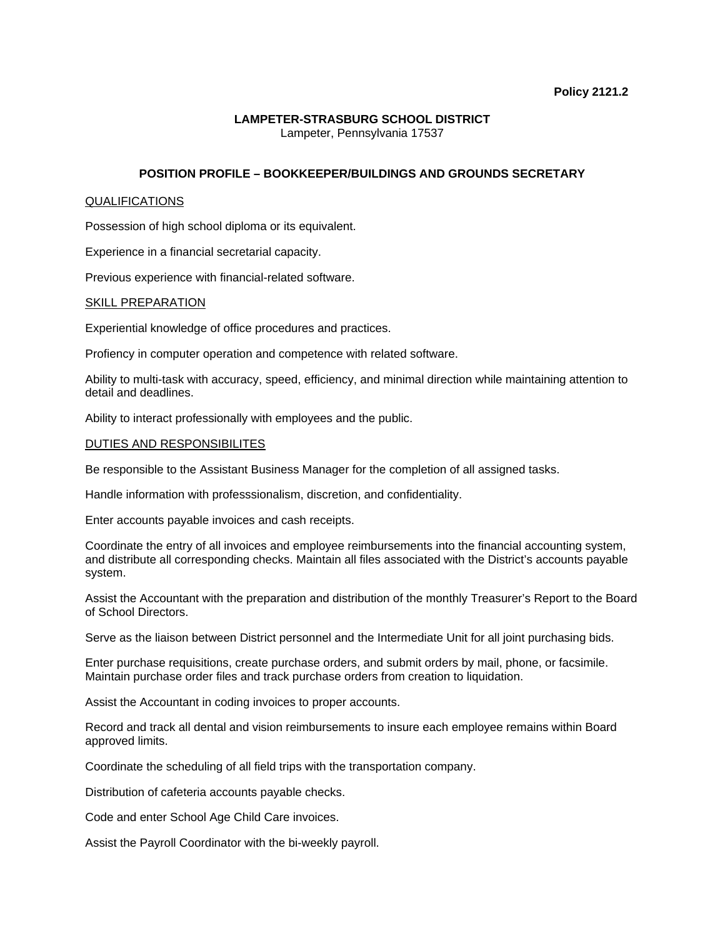### **LAMPETER-STRASBURG SCHOOL DISTRICT**  Lampeter, Pennsylvania 17537

**POSITION PROFILE – BOOKKEEPER/BUILDINGS AND GROUNDS SECRETARY** 

# QUALIFICATIONS

Possession of high school diploma or its equivalent.

Experience in a financial secretarial capacity.

Previous experience with financial-related software.

### SKILL PREPARATION

Experiential knowledge of office procedures and practices.

Profiency in computer operation and competence with related software.

Ability to multi-task with accuracy, speed, efficiency, and minimal direction while maintaining attention to detail and deadlines.

Ability to interact professionally with employees and the public.

# DUTIES AND RESPONSIBILITES

Be responsible to the Assistant Business Manager for the completion of all assigned tasks.

Handle information with professsionalism, discretion, and confidentiality.

Enter accounts payable invoices and cash receipts.

Coordinate the entry of all invoices and employee reimbursements into the financial accounting system, and distribute all corresponding checks. Maintain all files associated with the District's accounts payable system.

Assist the Accountant with the preparation and distribution of the monthly Treasurer's Report to the Board of School Directors.

Serve as the liaison between District personnel and the Intermediate Unit for all joint purchasing bids.

Enter purchase requisitions, create purchase orders, and submit orders by mail, phone, or facsimile. Maintain purchase order files and track purchase orders from creation to liquidation.

Assist the Accountant in coding invoices to proper accounts.

Record and track all dental and vision reimbursements to insure each employee remains within Board approved limits.

Coordinate the scheduling of all field trips with the transportation company.

Distribution of cafeteria accounts payable checks.

Code and enter School Age Child Care invoices.

Assist the Payroll Coordinator with the bi-weekly payroll.